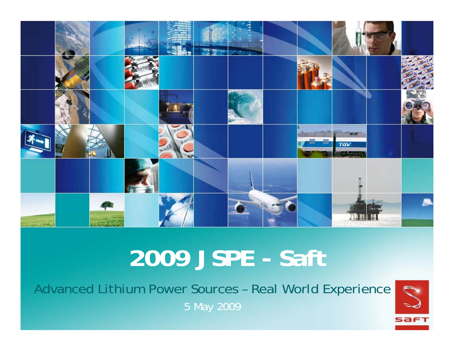

# **2009 JSPE - Saft**

Advanced Lithium Power Sources – Real World Experience 5 May 2009

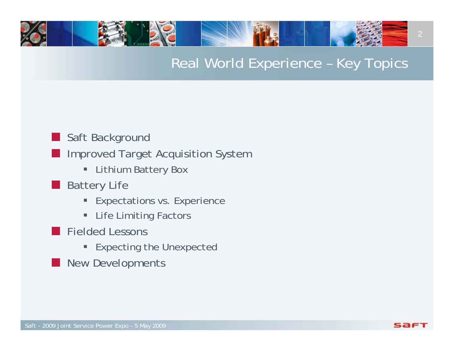## Real World Experience – Key Topics

### **Saft Background**

- **Improved Target Acquisition System** 
	- ш Lithium Battery Box
- **Battery Life** 
	- **Expectations vs. Experience**
	- ш Life Limiting Factors
- **Fielded Lessons** 
	- **Expecting the Unexpected**
- an<br>Ma New Developments

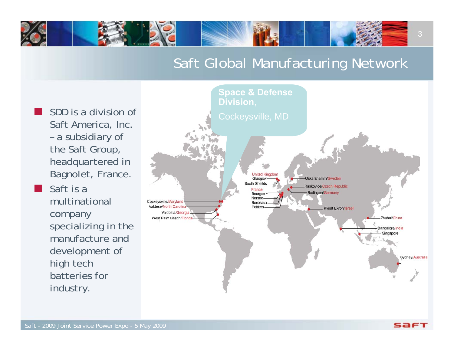## Saft Global Manufacturing Network

 $\Box$  SDD is a division of Saft America, Inc. – a subsidiary of the Saft Group, headquartered in Bagnolet, France.

E

 Saft is a multinational company specializing in the manufacture and development of high tech batteries for industry.

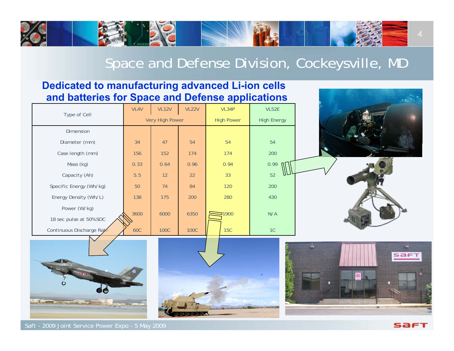## Space and Defense Division, Cockeysville, MD

#### **Dedicated to manufacturing advanced Li-ion cells and batteries for Space and Defense applications**

|                                                                                                                                                                                                                                           |                 |              |              | . .               |                    |                |
|-------------------------------------------------------------------------------------------------------------------------------------------------------------------------------------------------------------------------------------------|-----------------|--------------|--------------|-------------------|--------------------|----------------|
| Type of Cell                                                                                                                                                                                                                              | VL4V            | <b>VL12V</b> | <b>VL22V</b> | VL34P             | VL52E              |                |
|                                                                                                                                                                                                                                           | Very High Power |              |              | <b>High Power</b> | <b>High Energy</b> |                |
| Dimension                                                                                                                                                                                                                                 |                 |              |              |                   |                    |                |
| Diameter (mm)                                                                                                                                                                                                                             | 34              | 47           | 54           | 54                | 54                 |                |
| Case length (mm)                                                                                                                                                                                                                          | 156             | 152          | 174          | 174               | 200                |                |
| Mass (kg)                                                                                                                                                                                                                                 | 0.33            | 0.64         | 0.96         | 0.94              | 0.99               |                |
| Capacity (Ah)                                                                                                                                                                                                                             | $5.5$           | 12           | 22           | 33                | 52                 |                |
| Specific Energy (Wh/kg)                                                                                                                                                                                                                   | 50              | 74           | 84           | 120               | 200                |                |
| Energy Density (Wh/L)                                                                                                                                                                                                                     | 138             | 175          | 200          | 280               | 430                |                |
| Power (W/kg)                                                                                                                                                                                                                              | 3600            | 6000         | 6350         | $= 1900$          | N/A                |                |
| 18 sec pulse at 50% SOC                                                                                                                                                                                                                   |                 |              |              |                   |                    |                |
| Continuous Discharge Rate                                                                                                                                                                                                                 | <b>60C</b>      | <b>100C</b>  | <b>100C</b>  | <b>15C</b>        | 1C                 |                |
| C<br><b>All of Contract of Contract of Contract of Contract of Contract of Contract of Contract of Contract of Contract of Contract of Contract of Contract of Contract of Contract of Contract of Contract of Contract of Contract o</b> |                 |              |              |                   |                    | saft<br>Π<br>٠ |

Saft - 2009 Joint Service Power Expo - 5 May 2009

SAFT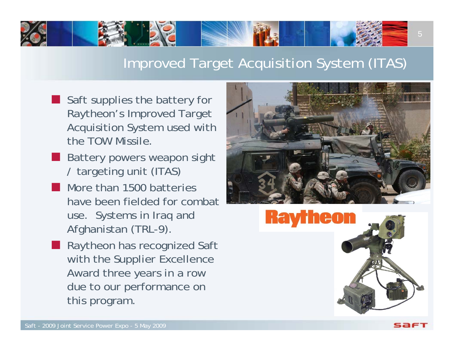## Improved Target Acquisition System (ITAS)

- Saft supplies the battery for Raytheon's Improved Target Acquisition System used with the TOW Missile.
- **Battery powers weapon sight** / targeting unit (ITAS)
- an<br>Ma More than 1500 batteries have been fielded for combat use. Systems in Iraq and Afghanistan (TRL-9).
- an<br>Ma Raytheon has recognized Saft with the Supplier Excellence Award three years in a row due to our performance on this program.



5

saf:

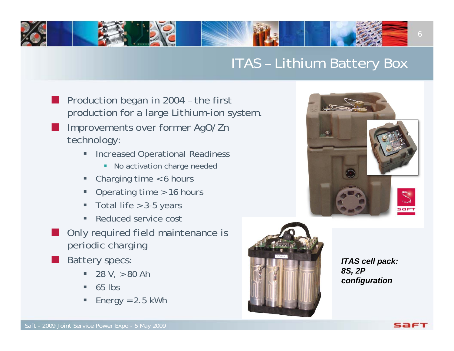## ITAS – Lithium Battery Box

- F. Production began in 2004 – the first production for a large Lithium-ion system.
- F. Improvements over former AgO/Zn technology:
	- $\blacksquare$  Increased Operational Readiness
		- **No activation charge needed**
	- п Charging time < 6 hours
	- $\blacksquare$ Operating time > 16 hours
	- $\blacksquare$ Total life > 3-5 years
	- $\blacksquare$ Reduced service cost
- F. Only required field maintenance is periodic charging
- F. Battery specs:
	- $\blacksquare$ 28 V, > 80 Ah
	- $\blacksquare$ 65 lbs
	- $\blacksquare$ Energy  $= 2.5$  kWh



*ITAS cell pack: 8S, 2P configuration*

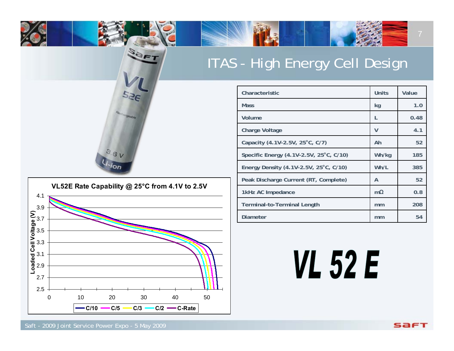## ITAS - High Energy Cell Design

SOFT



| Characteristic                          | Units     | Value |
|-----------------------------------------|-----------|-------|
| <b>Mass</b>                             | kg        | 1.0   |
| Volume                                  | L         | 0.48  |
| <b>Charge Voltage</b>                   | V         | 4.1   |
| Capacity (4.1V-2.5V, 25°C, C/7)         | Ah        | 52    |
| Specific Energy (4.1V-2.5V, 25°C, C/10) | Wh/kg     | 185   |
| Energy Density (4.1V-2.5V, 25°C, C/10)  | Wh/L      | 385   |
| Peak Discharge Current (RT, Complete)   | A         | 52    |
| 1kHz AC Impedance                       | $m\Omega$ | 0.8   |
| <b>Terminal-to-Terminal Length</b>      | mm        | 208   |
| Diameter                                | mm        | 54    |

# **VL 52 E**

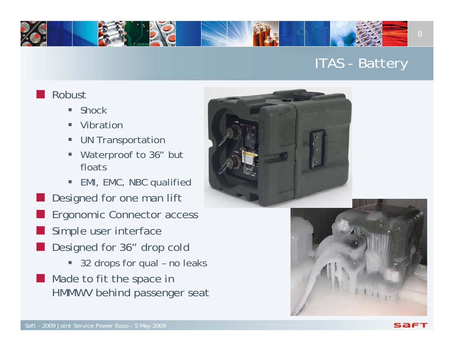## ITAS - Battery

#### Robust

an<br>Ma

- $\blacksquare$ Shock
- П Vibration
- П UN Transportation
- П Waterproof to 36" but floats
- П EMI, EMC, NBC qualified Designed for one man lift an<br>Ma Ergonomic Connector access an<br>Ma Simple user interface
- Designed for 36" drop cold
	- 32 drops for qual no leaks
- **Made to fit the space in** HMMWV behind passenger seat





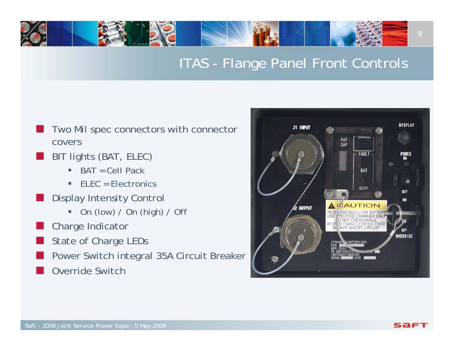## ITAS - Flange Panel Front Controls

- $\overline{\phantom{a}}$  Two Mil spec connectors with connector covers
- BIT lights (BAT, ELEC)
	- ▉ BAT = Cell Pack
	- ш ELEC = Electronics
- Display Intensity Control
	- a. On (low) / On (high) / Off
- F Charge Indicator
- $\overline{\phantom{a}}$ State of Charge LEDs
- Power Switch integral 35A Circuit Breaker
- $\overline{\phantom{a}}$ Override Switch

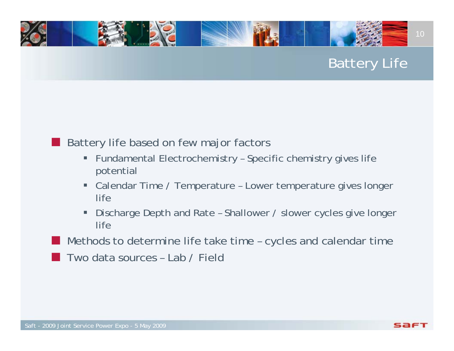## Battery Life

### Battery life based on few major factors

- $\blacksquare$  Fundamental Electrochemistry – Specific chemistry gives life potential
- п Calendar Time / Temperature – Lower temperature gives longer life
- п Discharge Depth and Rate – Shallower / slower cycles give longer life
- Methods to determine life take time – cycles and calendar time
- an<br>Ma Two data sources – Lab / Field

an<br>Ma

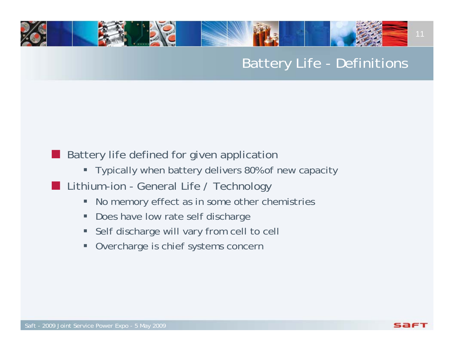## Battery Life - Definitions

#### an<br>Ma Battery life defined for given application

- Typically when battery delivers 80% of new capacity
- **Lithium-ion General Life / Technology** 
	- п No memory effect as in some other chemistries
	- п Does have low rate self discharge
	- п Self discharge will vary from cell to cell
	- $\blacksquare$ Overcharge is chief systems concern



11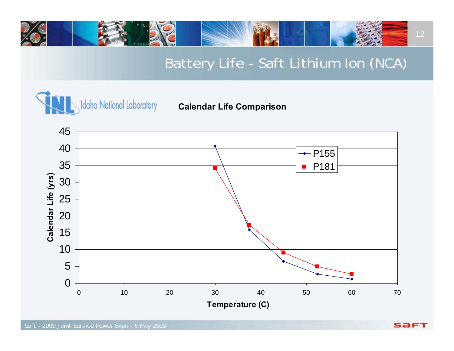

## Battery Life - Saft Lithium Ion (NCA)



#### **Calendar Life Comparison**



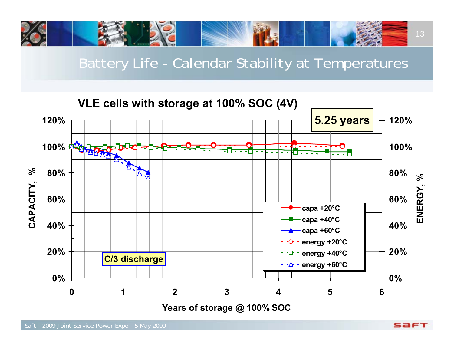

Battery Life - Calendar Stability at Temperatures

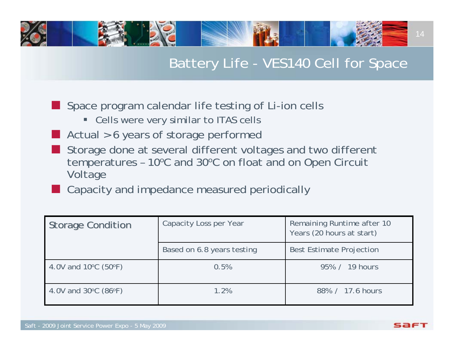## Battery Life - VES140 Cell for Space

- **Space program calendar life testing of Li-ion cells** 
	- Cells were very similar to ITAS cells
- an<br>Ma Actual > 6 years of storage performed
- an<br>Ma Storage done at several different voltages and two different temperatures - 10°C and 30°C on float and on Open Circuit Voltage
- an<br>Ma Capacity and impedance measured periodically

| <b>Storage Condition</b>                  | Capacity Loss per Year     | Remaining Runtime after 10<br>Years (20 hours at start) |
|-------------------------------------------|----------------------------|---------------------------------------------------------|
|                                           | Based on 6.8 years testing | <b>Best Estimate Projection</b>                         |
| 4.0V and $10^{\circ}$ C (50 $^{\circ}$ F) | 0.5%                       | 95% / 19 hours                                          |
| 4.0V and $30^{\circ}$ C (86 $^{\circ}$ F) | 1.2%                       | 88% / 17.6 hours                                        |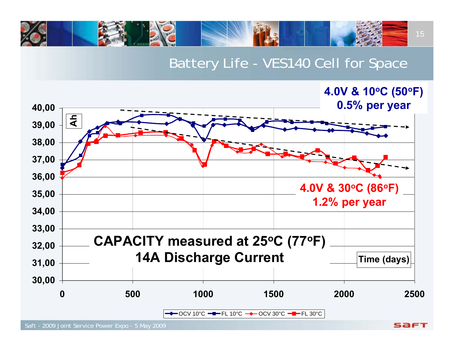

### Battery Life - VES140 Cell for Space

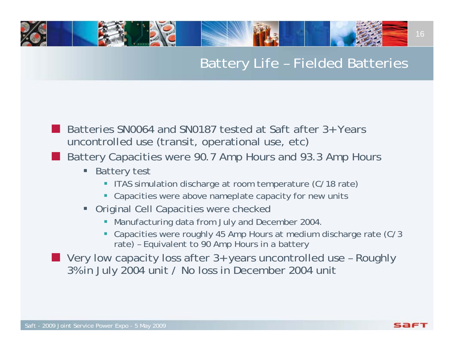## Battery Life – Fielded Batteries

- an<br>Ma Batteries SN0064 and SN0187 tested at Saft after 3+ Years uncontrolled use (transit, operational use, etc)
- an<br>Ma Battery Capacities were 90.7 Amp Hours and 93.3 Amp Hours
	- $\blacksquare$  Battery test
		- **ITAS simulation discharge at room temperature (C/18 rate)**
		- Capacities were above nameplate capacity for new units
	- **Original Cell Capacities were checked** 
		- **Manufacturing data from July and December 2004**
		- Capacities were roughly 45 Amp Hours at medium discharge rate (C/3 rate) – Equivalent to 90 Amp Hours in a battery
- Very low capacity loss after 3+ years uncontrolled use Roughly 3% in July 2004 unit / No loss in December 2004 unit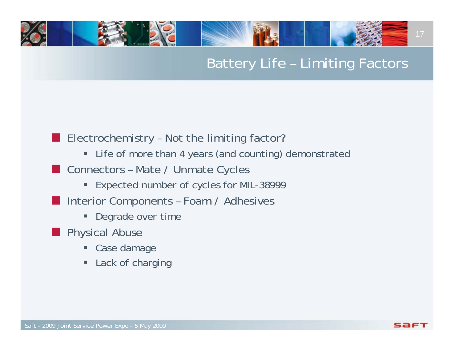## Battery Life – Limiting Factors

#### **E** Electrochemistry - Not the limiting factor?

- Life of more than 4 years (and counting) demonstrated
- **Connectors Mate / Unmate Cycles** 
	- Expected number of cycles for MIL-38999
- **Interior Components Foam / Adhesives** 
	- ш Degrade over time
- **Physical Abuse** 
	- Ξ Case damage
	- **Example 2** Lack of charging

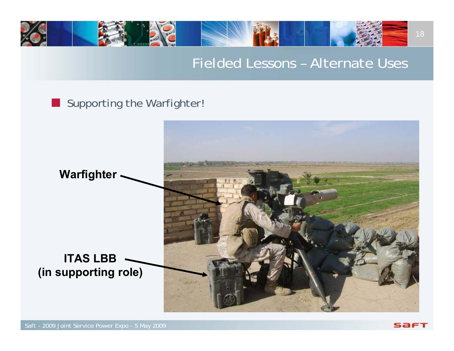

### Fielded Lessons – Alternate Uses

### Supporting the Warfighter

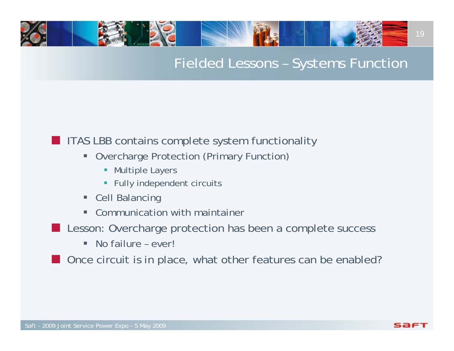## Fielded Lessons – Systems Function

#### **ITAS LBB contains complete system functionality**

- $\blacksquare$  Overcharge Protection (Primary Function)
	- **Multiple Layers**
	- **Fully independent circuits**
- **Cell Balancing**
- $\blacksquare$ Communication with maintainer
- **Lesson: Overcharge protection has been a complete success** 
	- $\blacksquare$ No failure – ever!

**Once circuit is in place, what other features can be enabled?**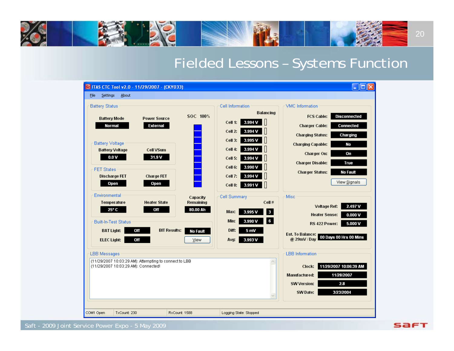

## Fielded Lessons – Systems Function

**SAFT** 

|           |                                                                                                                                                                                                                                                                                    |                             | S ITAS CTC Tool v2.0 - 11/29/2007 - (CKY033)                                                                                                                                                                                                                    |                                                                          |                                                                                                                                                                                                                                                                                                                                                        |                                                                                                                                                                                                                                                                                                                                                                                                                                                                                                                                                                                                                                |  |
|-----------|------------------------------------------------------------------------------------------------------------------------------------------------------------------------------------------------------------------------------------------------------------------------------------|-----------------------------|-----------------------------------------------------------------------------------------------------------------------------------------------------------------------------------------------------------------------------------------------------------------|--------------------------------------------------------------------------|--------------------------------------------------------------------------------------------------------------------------------------------------------------------------------------------------------------------------------------------------------------------------------------------------------------------------------------------------------|--------------------------------------------------------------------------------------------------------------------------------------------------------------------------------------------------------------------------------------------------------------------------------------------------------------------------------------------------------------------------------------------------------------------------------------------------------------------------------------------------------------------------------------------------------------------------------------------------------------------------------|--|
| File      | Settings                                                                                                                                                                                                                                                                           | About                       |                                                                                                                                                                                                                                                                 |                                                                          |                                                                                                                                                                                                                                                                                                                                                        |                                                                                                                                                                                                                                                                                                                                                                                                                                                                                                                                                                                                                                |  |
|           | <b>Battery Status</b><br><b>Battery Mode</b><br>Normal<br><b>Battery Voltage</b><br><b>Battery Voltage</b><br>0.0V<br><b>FET States</b><br><b>Discharge FET</b><br>Open<br>Environmental<br>Temperature<br>25° C<br><b>BAT Light:</b><br><b>ELEC Light:</b><br><b>LBB</b> Messages | <b>Built-In-Test Status</b> | <b>Power Source</b><br>External<br><b>Cell VSum</b><br>31.9 V<br><b>Charge FET</b><br>Open<br><b>Heater State</b><br>Off<br>Off<br><b>BIT Results:</b><br>Off<br>(11/29/2007 10:03:29 AM): Attempting to connect to LBB<br>(11/29/2007 10:03:29 AM): Connected! | SOC 100%<br>Capacity<br>Remaining<br>80.00 Ah<br><b>No Fault</b><br>View | Cell Information<br><b>Balancing</b><br>3.994 V<br>Cell 1:<br>Cell 2:<br>3.994 V<br>3.995V<br>Cell 3:<br>Cell 4:<br>3.994 V<br>Cell 5:<br>3.994 V<br>3.990 V<br>Cell 6:<br>3.994 V<br>Cell 7:<br>Ш<br>Cell 8:<br>3.991 V<br><b>Cell Summary</b><br>Cell#<br>3<br>Max:<br>3.995V<br>6<br>Min:<br>3.990 V<br>Diff:<br>5 mV<br>Avg.<br>3.993 V<br>$\land$ | VMC Information<br><b>Disconnected</b><br><b>FCS Cable:</b><br><b>Charger Cable:</b><br><b>Connected</b><br><b>Charging Status:</b><br>Charging<br>No<br><b>Charging Capable:</b><br>Charger On:<br>On<br><b>Charger Disable:</b><br>True<br><b>No Fault</b><br><b>Charger Status:</b><br>View Signals<br>Misc<br>2.497V<br><b>Voltage Ref:</b><br><b>Heater Sense:</b><br>0.000V<br>5.000 V<br>RS 422 Power:<br>Est. To Balance:<br>00 Days 00 Hrs 00 Mins<br>@ 29mV / Day<br><b>LBB</b> Information<br>11/29/2007 10:06:39 AM<br>Clock:<br>11/28/2007<br>Manufactured:<br><b>SW Version:</b><br>2.8<br>SW Date:<br>3/23/2004 |  |
|           |                                                                                                                                                                                                                                                                                    |                             |                                                                                                                                                                                                                                                                 |                                                                          |                                                                                                                                                                                                                                                                                                                                                        |                                                                                                                                                                                                                                                                                                                                                                                                                                                                                                                                                                                                                                |  |
| COM1 Open |                                                                                                                                                                                                                                                                                    | TxCount: 230                |                                                                                                                                                                                                                                                                 | RxCount: 1588                                                            | Logging State: Stopped                                                                                                                                                                                                                                                                                                                                 |                                                                                                                                                                                                                                                                                                                                                                                                                                                                                                                                                                                                                                |  |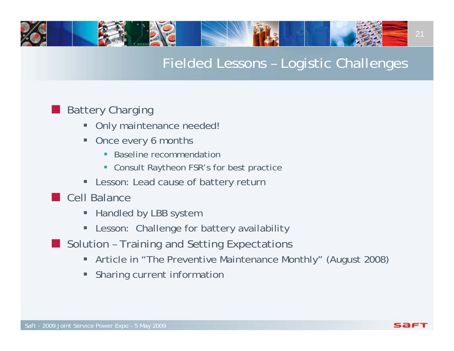

## Fielded Lessons – Logistic Challenges

#### Battery Charging

an<br>Ma

- $\blacksquare$ Only maintenance needed!
- п Once every 6 months
	- **Baseline recommendation**
	- Consult Raytheon FSR's for best practice
- $\blacksquare$ Lesson: Lead cause of battery return
- **Cell Balance** 
	- **Handled by LBB system**
	- ш Lesson: Challenge for battery availability
- **Solution Training and Setting Expectations** 
	- Article in "The Preventive Maintenance Monthly" (August 2008)
	- $\blacksquare$ Sharing current information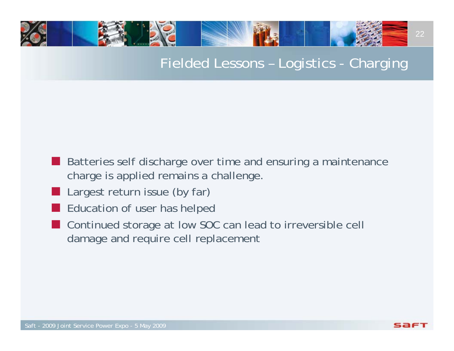## Fielded Lessons – Logistics - Charging

- **Batteries self discharge over time and ensuring a maintenance** charge is applied remains a challenge.
- an<br>Ma Largest return issue (by far)
- an<br>Ma Education of user has helped
- an<br>Ma Continued storage at low SOC can lead to irreversible cell damage and require cell replacement

22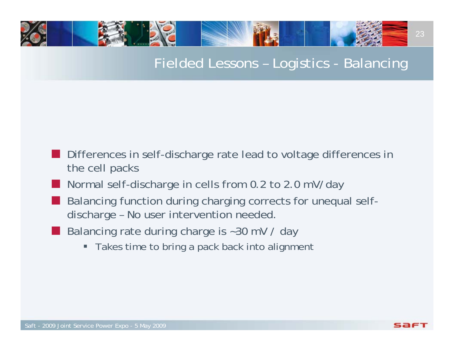## Fielded Lessons – Logistics - Balancing

- Differences in self-discharge rate lead to voltage differences in the cell packs
- an<br>Ma Normal self-discharge in cells from 0.2 to 2.0 mV/day
- an<br>Ma Balancing function during charging corrects for unequal selfdischarge – No user intervention needed.
- an<br>Ma Balancing rate during charge is ~30 mV / day
	- Takes time to bring a pack back into alignment

23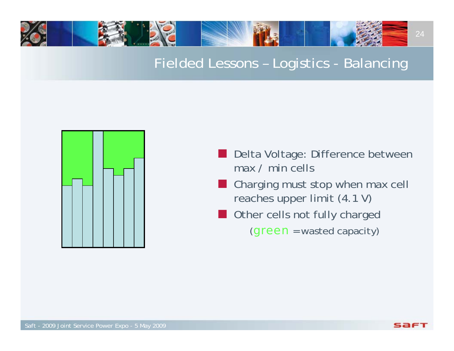# 24

## Fielded Lessons – Logistics - Balancing



- Delta Voltage: Difference between max / min cells
- an<br>Ma Charging must stop when max cell reaches upper limit (4.1 V)
- an<br>Ma Other cells not fully charged (*green* = wasted capacity)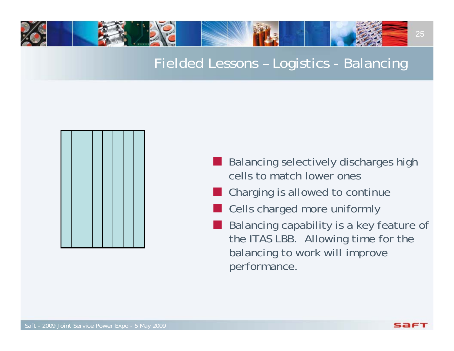# 25

## Fielded Lessons – Logistics - Balancing



- an<br>Ma Balancing selectively discharges high cells to match lower ones
- an<br>Ma Charging is allowed to continue
- an<br>Ma Cells charged more uniformly
- i<br>List Balancing capability is a key feature of the ITAS LBB. Allowing time for the balancing to work will improve performance.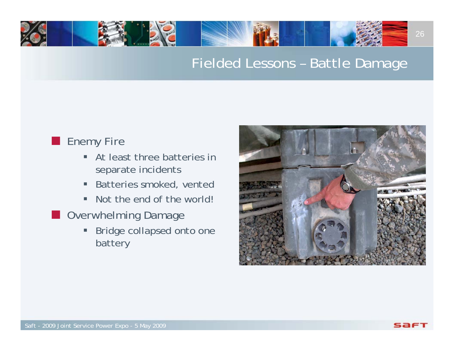## Fielded Lessons – Battle Damage

#### **Enemy Fire**

- $\blacksquare$  At least three batteries in separate incidents
- $\blacksquare$ Batteries smoked, vented
- $\blacksquare$ Not the end of the world!
- **Deal** Overwhelming Damage
	- $\blacksquare$  Bridge collapsed onto one battery

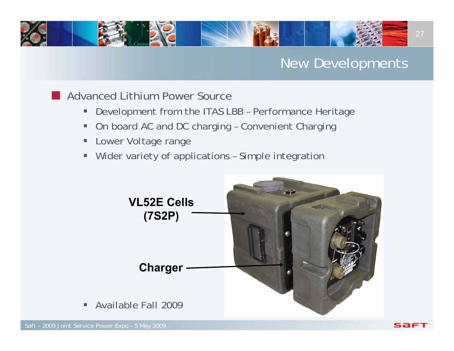## 27

## New Developments

**Advanced Lithium Power Source** 

- Ξ Development from the ITAS LBB – Performance Heritage
- Ξ On board AC and DC charging – Convenient Charging
- п Lower Voltage range
- $\blacksquare$ Wider variety of applications – Simple integration



 $\blacksquare$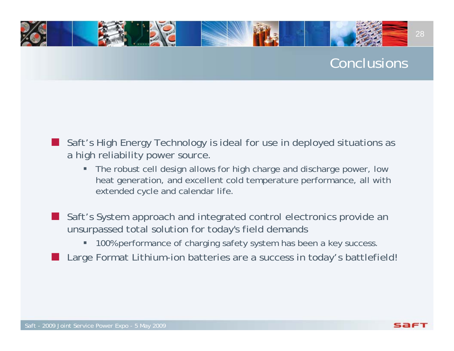## Conclusions

28

- E Saft's High Energy Technology is ideal for use in deployed situations as a high reliability power source.
	- $\blacksquare$  The robust cell design allows for high charge and discharge power, low heat generation, and excellent cold temperature performance, all with extended cycle and calendar life.
- F. Saft's System approach and integrated control electronics provide an unsurpassed total solution for today's field demands
	- $\blacksquare$ 100% performance of charging safety system has been a key success.
- F. Large Format Lithium-ion batteries are a success in today's battlefield!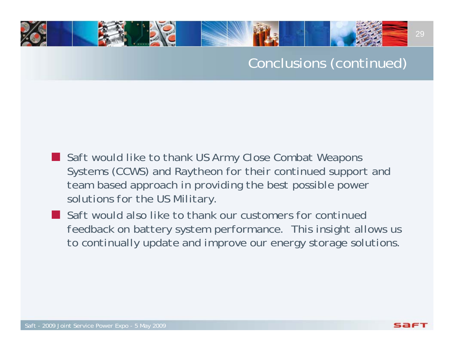## Conclusions (continued)

- an<br>Ma *Saft would like to thank US Army Close Combat Weapons Systems (CCWS) and Raytheon for their continued support and team based approach in providing the best possible power solutions for the US Military.*
- an<br>Ma *Saft would also like to thank our customers for continued feedback on battery system performance. This insight allows us to continually update and improve our energy storage solutions.*

29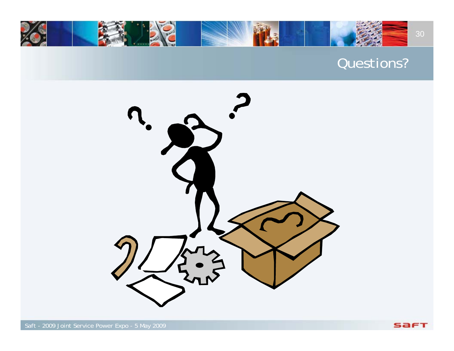